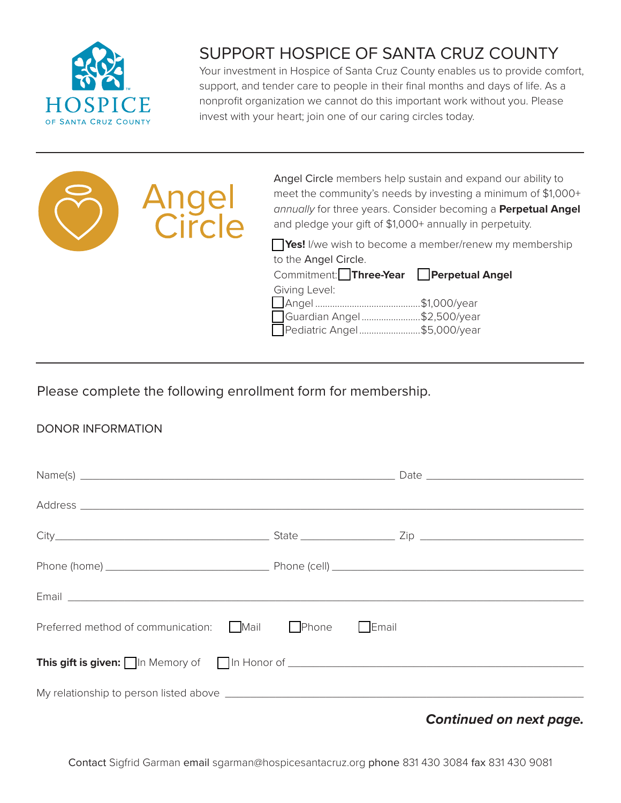

## SUPPORT HOSPICE OF SANTA CRUZ COUNTY

Your investment in Hospice of Santa Cruz County enables us to provide comfort, support, and tender care to people in their final months and days of life. As a nonprofit organization we cannot do this important work without you. Please invest with your heart; join one of our caring circles today.



Angel Circle members help sustain and expand our ability to meet the community's needs by investing a minimum of \$1,000+ *annually* for three years. Consider becoming a **Perpetual Angel** and pledge your gift of \$1,000+ annually in perpetuity.

**Tres!** I/we wish to become a member/renew my membership to the Angel Circle.

Giving Level:

Commitment: Three-Year **Perpetual Angel** 

| Giving Level:               |  |
|-----------------------------|--|
|                             |  |
| Guardian Angel\$2,500/year  |  |
| Pediatric Angel\$5,000/year |  |
|                             |  |

Please complete the following enrollment form for membership.

### DONOR INFORMATION

| Preferred method of communication: Mail Phone FEmail |  |  |
|------------------------------------------------------|--|--|
|                                                      |  |  |
|                                                      |  |  |
|                                                      |  |  |

*Continued on next page.*